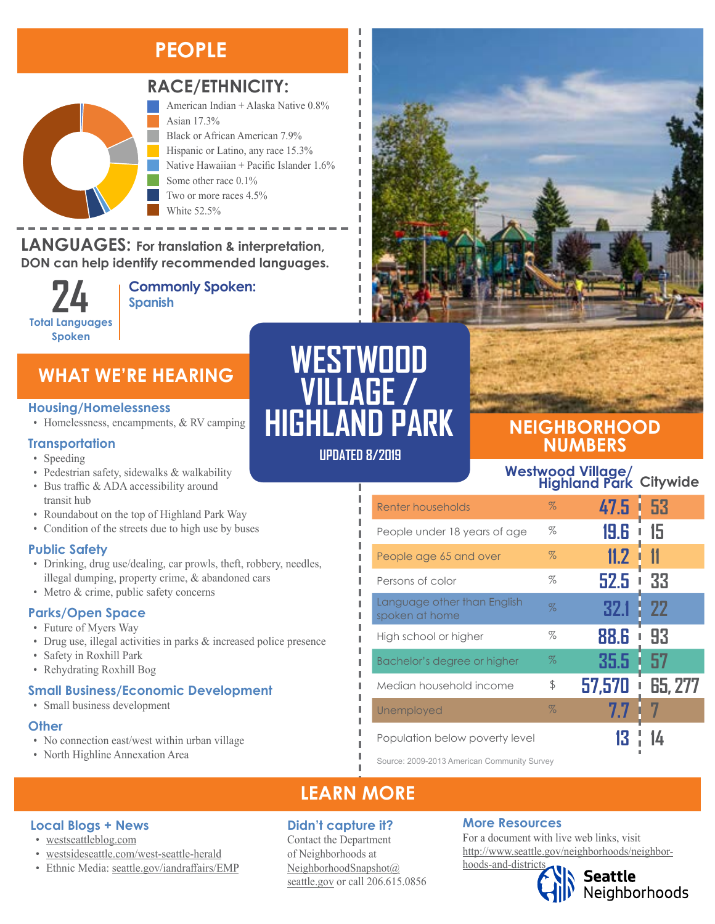### **PEOPLE**



### **RACE/ETHNICITY:**

American Indian + Alaska Native 0.8% Asian 17.3% Black or African American 7.9% Hispanic or Latino, any race 15.3% Native Hawaiian + Pacific Islander 1.6% Some other race 0.1% Two or more races 4.5% White 52.5%

#### **LANGUAGES:** For translation & interpretation, **DON can help identify recommended languages.** Native Hawaiian and Other Pacific Islander Some Other Race

**Total Languages Spoken**

American Indian and Alaska Native Asian

**Commonly Spoken: 24 Spanish** 

### **WHAT WE'RE HEARING**

#### **Housing/Homelessness**

• Homelessness, encampments, & RV camping

### **Transportation**

- Speeding
- Pedestrian safety, sidewalks & walkability
- Bus traffic & ADA accessibility around transit hub
- Roundabout on the top of Highland Park Way
- Condition of the streets due to high use by buses

### **Public Safety**

- Drinking, drug use/dealing, car prowls, theft, robbery, needles, illegal dumping, property crime, & abandoned cars
- Metro & crime, public safety concerns

### **Parks/Open Space**

- Future of Myers Way
- Drug use, illegal activities in parks & increased police presence
- Safety in Roxhill Park
- Rehydrating Roxhill Bog

### **Small Business/Economic Development**

• Small business development

**Local Blogs + News** • [westseattleblog.com](http://westseattleblog.com/)

### **Other**

• No connection east/west within urban village

• [westsideseattle.com](https://www.westsideseattle.com/west-seattle-herald)/west-seattle-herald • Ethnic Media: [seattle.gov/iandraffairs/EMP](http://www.seattle.gov/iandraffairs/EMP)

• North Highline Annexation Area



Л

л I I л

### **UPDATED 8/2019**



### **NEIGHBORHOOD NUMBERS**

# **Westwood Village/ Highland Park Citywide**

| Renter households                             | $\%$ | 47.5   | 53<br>I       |
|-----------------------------------------------|------|--------|---------------|
| People under 18 years of age                  | $\%$ | 19.6   | 15            |
| People age 65 and over                        | $\%$ | 11.2   | $\mathbf{11}$ |
| Persons of color                              | $\%$ | 52.5   | 33            |
| Language other than English<br>spoken at home | $\%$ | 32.1   | 22            |
| High school or higher                         | %    | 88.G   | 93            |
| Bachelor's degree or higher                   | $\%$ | 35.5   | 57            |
| Median household income                       | \$   | 57,570 | 65, 277       |
| Unemployed                                    | %    | 7.7    |               |
| Population below poverty level                |      |        |               |

Source: 2009-2013 American Community Survey

### **LEARN MORE**

### **Didn't capture it?**

Contact the Department of Neighborhoods at [NeighborhoodSnapshot@](mailto:NeighborhoodSnapshot%40%0Aseattle.gov?subject=) [seattle.gov](mailto:NeighborhoodSnapshot%40%0Aseattle.gov?subject=) or call 206.615.0856

### **More Resources**

For a document with live web links, visit [http://www.seattle.gov/neighborhoods/neighbor](http://www.seattle.gov/neighborhoods/neighborhoods-and-districts)[hoods-and-districts](http://www.seattle.gov/neighborhoods/neighborhoods-and-districts)

Seattle<br>Neighborhoods